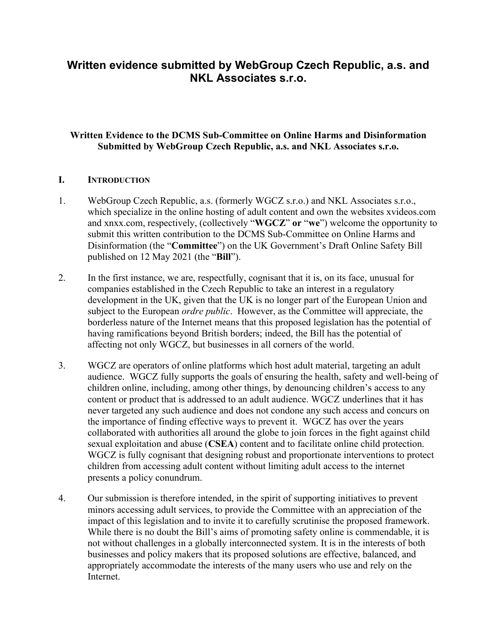# **Written evidence submitted by WebGroup Czech Republic, a.s. and NKL Associates s.r.o.**

## **Written Evidence to the DCMS Sub-Committee on Online Harms and Disinformation Submitted by WebGroup Czech Republic, a.s. and NKL Associates s.r.o.**

#### **I. INTRODUCTION**

- 1. WebGroup Czech Republic, a.s. (formerly WGCZ s.r.o.) and NKL Associates s.r.o., which specialize in the online hosting of adult content and own the websites xvideos.com and xnxx.com, respectively, (collectively "**WGCZ**" **or** "**we**") welcome the opportunity to submit this written contribution to the DCMS Sub-Committee on Online Harms and Disinformation (the "**Committee**") on the UK Government's Draft Online Safety Bill published on 12 May 2021 (the "**Bill**").
- 2. In the first instance, we are, respectfully, cognisant that it is, on its face, unusual for companies established in the Czech Republic to take an interest in a regulatory development in the UK, given that the UK is no longer part of the European Union and subject to the European *ordre public*. However, as the Committee will appreciate, the borderless nature of the Internet means that this proposed legislation has the potential of having ramifications beyond British borders; indeed, the Bill has the potential of affecting not only WGCZ, but businesses in all corners of the world.
- 3. WGCZ are operators of online platforms which host adult material, targeting an adult audience. WGCZ fully supports the goals of ensuring the health, safety and well-being of children online, including, among other things, by denouncing children's access to any content or product that is addressed to an adult audience. WGCZ underlines that it has never targeted any such audience and does not condone any such access and concurs on the importance of finding effective ways to prevent it. WGCZ has over the years collaborated with authorities all around the globe to join forces in the fight against child sexual exploitation and abuse (**CSEA**) content and to facilitate online child protection. WGCZ is fully cognisant that designing robust and proportionate interventions to protect children from accessing adult content without limiting adult access to the internet presents a policy conundrum.
- 4. Our submission is therefore intended, in the spirit of supporting initiatives to prevent minors accessing adult services, to provide the Committee with an appreciation of the impact of this legislation and to invite it to carefully scrutinise the proposed framework. While there is no doubt the Bill's aims of promoting safety online is commendable, it is not without challenges in a globally interconnected system. It is in the interests of both businesses and policy makers that its proposed solutions are effective, balanced, and appropriately accommodate the interests of the many users who use and rely on the **Internet**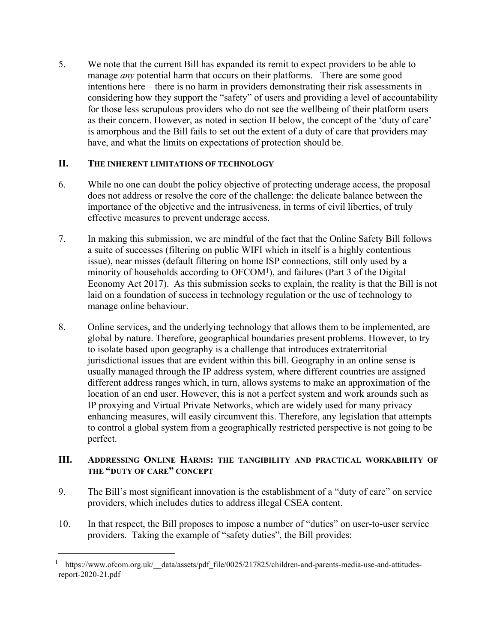5. We note that the current Bill has expanded its remit to expect providers to be able to manage *any* potential harm that occurs on their platforms. There are some good intentions here – there is no harm in providers demonstrating their risk assessments in considering how they support the "safety" of users and providing a level of accountability for those less scrupulous providers who do not see the wellbeing of their platform users as their concern. However, as noted in section II below, the concept of the 'duty of care' is amorphous and the Bill fails to set out the extent of a duty of care that providers may have, and what the limits on expectations of protection should be.

#### **II. THE INHERENT LIMITATIONS OF TECHNOLOGY**

- 6. While no one can doubt the policy objective of protecting underage access, the proposal does not address or resolve the core of the challenge: the delicate balance between the importance of the objective and the intrusiveness, in terms of civil liberties, of truly effective measures to prevent underage access.
- 7. In making this submission, we are mindful of the fact that the Online Safety Bill follows a suite of successes (filtering on public WIFI which in itself is a highly contentious issue), near misses (default filtering on home ISP connections, still only used by a minority of households according to OFCOM<sup>1</sup>), and failures (Part 3 of the Digital Economy Act 2017). As this submission seeks to explain, the reality is that the Bill is not laid on a foundation of success in technology regulation or the use of technology to manage online behaviour.
- 8. Online services, and the underlying technology that allows them to be implemented, are global by nature. Therefore, geographical boundaries present problems. However, to try to isolate based upon geography is a challenge that introduces extraterritorial jurisdictional issues that are evident within this bill. Geography in an online sense is usually managed through the IP address system, where different countries are assigned different address ranges which, in turn, allows systems to make an approximation of the location of an end user. However, this is not a perfect system and work arounds such as IP proxying and Virtual Private Networks, which are widely used for many privacy enhancing measures, will easily circumvent this. Therefore, any legislation that attempts to control a global system from a geographically restricted perspective is not going to be perfect.

## **III. ADDRESSING ONLINE HARMS: THE TANGIBILITY AND PRACTICAL WORKABILITY OF THE "DUTY OF CARE" CONCEPT**

- 9. The Bill's most significant innovation is the establishment of a "duty of care" on service providers, which includes duties to address illegal CSEA content.
- 10. In that respect, the Bill proposes to impose a number of "duties" on user-to-user service providers. Taking the example of "safety duties", the Bill provides:

<sup>1</sup> https://www.ofcom.org.uk/\_\_data/assets/pdf\_file/0025/217825/children-and-parents-media-use-and-attitudesreport-2020-21.pdf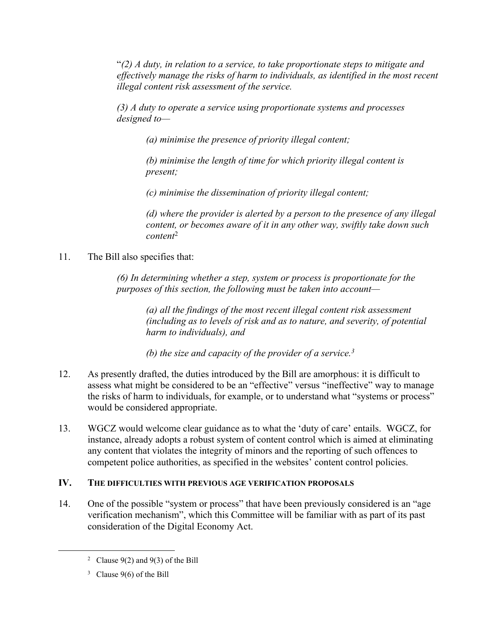"*(2) A duty, in relation to a service, to take proportionate steps to mitigate and effectively manage the risks of harm to individuals, as identified in the most recent illegal content risk assessment of the service.*

*(3) A duty to operate a service using proportionate systems and processes designed to—*

*(a) minimise the presence of priority illegal content;*

*(b) minimise the length of time for which priority illegal content is present;*

*(c) minimise the dissemination of priority illegal content;*

*(d) where the provider is alerted by a person to the presence of any illegal content, or becomes aware of it in any other way, swiftly take down such content*<sup>2</sup>

11. The Bill also specifies that:

*(6) In determining whether a step, system or process is proportionate for the purposes of this section, the following must be taken into account—*

*(a) all the findings of the most recent illegal content risk assessment (including as to levels of risk and as to nature, and severity, of potential harm to individuals), and*

*(b) the size and capacity of the provider of a service.<sup>3</sup>*

- 12. As presently drafted, the duties introduced by the Bill are amorphous: it is difficult to assess what might be considered to be an "effective" versus "ineffective" way to manage the risks of harm to individuals, for example, or to understand what "systems or process" would be considered appropriate.
- 13. WGCZ would welcome clear guidance as to what the 'duty of care' entails. WGCZ, for instance, already adopts a robust system of content control which is aimed at eliminating any content that violates the integrity of minors and the reporting of such offences to competent police authorities, as specified in the websites' content control policies.

## **IV. THE DIFFICULTIES WITH PREVIOUS AGE VERIFICATION PROPOSALS**

14. One of the possible "system or process" that have been previously considered is an "age verification mechanism", which this Committee will be familiar with as part of its past consideration of the Digital Economy Act.

<sup>&</sup>lt;sup>2</sup> Clause 9(2) and 9(3) of the Bill

<sup>&</sup>lt;sup>3</sup> Clause 9(6) of the Bill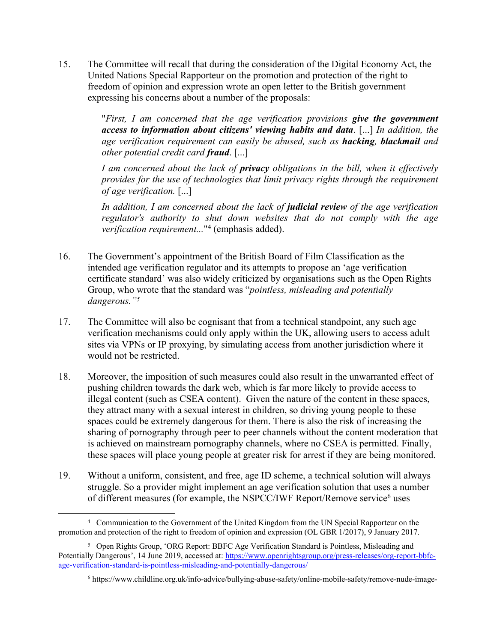15. The Committee will recall that during the consideration of the Digital Economy Act, the United Nations Special Rapporteur on the promotion and protection of the right to freedom of opinion and expression wrote an open letter to the British government expressing his concerns about a number of the proposals:

> "*First, I am concerned that the age verification provisions give the government access to information about citizens' viewing habits and data*. [...] *In addition, the age verification requirement can easily be abused, such as hacking, blackmail and other potential credit card fraud*. [...]

> *I am concerned about the lack of privacy obligations in the bill, when it effectively provides for the use of technologies that limit privacy rights through the requirement of age verification.* [...]

> *In addition, I am concerned about the lack of judicial review of the age verification regulator's authority to shut down websites that do not comply with the age verification requirement...*" 4 (emphasis added).

- 16. The Government's appointment of the British Board of Film Classification as the intended age verification regulator and its attempts to propose an 'age verification certificate standard' was also widely criticized by organisations such as the Open Rights Group, who wrote that the standard was "*pointless, misleading and potentially dangerous."<sup>5</sup>*
- 17. The Committee will also be cognisant that from a technical standpoint, any such age verification mechanisms could only apply within the UK, allowing users to access adult sites via VPNs or IP proxying, by simulating access from another jurisdiction where it would not be restricted.
- 18. Moreover, the imposition of such measures could also result in the unwarranted effect of pushing children towards the dark web, which is far more likely to provide access to illegal content (such as CSEA content). Given the nature of the content in these spaces, they attract many with a sexual interest in children, so driving young people to these spaces could be extremely dangerous for them. There is also the risk of increasing the sharing of pornography through peer to peer channels without the content moderation that is achieved on mainstream pornography channels, where no CSEA is permitted. Finally, these spaces will place young people at greater risk for arrest if they are being monitored.
- 19. Without a uniform, consistent, and free, age ID scheme, a technical solution will always struggle. So a provider might implement an age verification solution that uses a number of different measures (for example, the NSPCC/IWF Report/Remove service<sup>6</sup> uses

<sup>4</sup> Communication to the Government of the United Kingdom from the UN Special Rapporteur on the promotion and protection of the right to freedom of opinion and expression (OL GBR 1/2017), 9 January 2017.

<sup>5</sup> Open Rights Group, 'ORG Report: BBFC Age Verification Standard is Pointless, Misleading and Potentially Dangerous', 14 June 2019, accessed at: [https://www.openrightsgroup.org/press-releases/org-report-bbfc](https://www.openrightsgroup.org/press-releases/org-report-bbfc-age-verification-standard-is-pointless-misleading-and-potentially-dangerous/)[age-verification-standard-is-pointless-misleading-and-potentially-dangerous/](https://www.openrightsgroup.org/press-releases/org-report-bbfc-age-verification-standard-is-pointless-misleading-and-potentially-dangerous/)

<sup>6</sup> https://www.childline.org.uk/info-advice/bullying-abuse-safety/online-mobile-safety/remove-nude-image-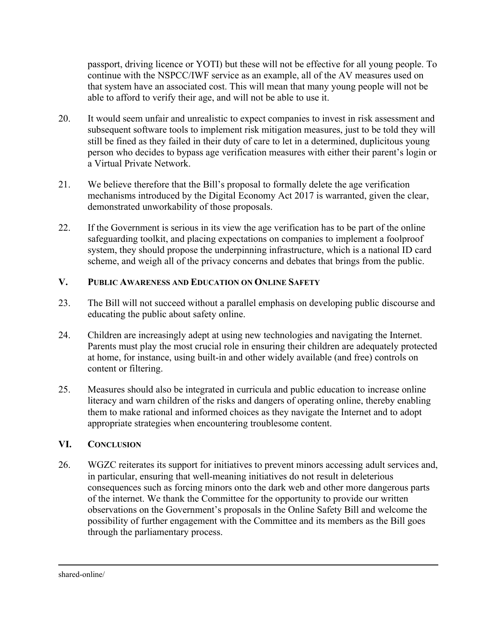passport, driving licence or YOTI) but these will not be effective for all young people. To continue with the NSPCC/IWF service as an example, all of the AV measures used on that system have an associated cost. This will mean that many young people will not be able to afford to verify their age, and will not be able to use it.

- 20. It would seem unfair and unrealistic to expect companies to invest in risk assessment and subsequent software tools to implement risk mitigation measures, just to be told they will still be fined as they failed in their duty of care to let in a determined, duplicitous young person who decides to bypass age verification measures with either their parent's login or a Virtual Private Network.
- 21. We believe therefore that the Bill's proposal to formally delete the age verification mechanisms introduced by the Digital Economy Act 2017 is warranted, given the clear, demonstrated unworkability of those proposals.
- 22. If the Government is serious in its view the age verification has to be part of the online safeguarding toolkit, and placing expectations on companies to implement a foolproof system, they should propose the underpinning infrastructure, which is a national ID card scheme, and weigh all of the privacy concerns and debates that brings from the public.

## **V. PUBLIC AWARENESS AND EDUCATION ON ONLINE SAFETY**

- 23. The Bill will not succeed without a parallel emphasis on developing public discourse and educating the public about safety online.
- 24. Children are increasingly adept at using new technologies and navigating the Internet. Parents must play the most crucial role in ensuring their children are adequately protected at home, for instance, using built-in and other widely available (and free) controls on content or filtering.
- 25. Measures should also be integrated in curricula and public education to increase online literacy and warn children of the risks and dangers of operating online, thereby enabling them to make rational and informed choices as they navigate the Internet and to adopt appropriate strategies when encountering troublesome content.

## **VI. CONCLUSION**

26. WGZC reiterates its support for initiatives to prevent minors accessing adult services and, in particular, ensuring that well-meaning initiatives do not result in deleterious consequences such as forcing minors onto the dark web and other more dangerous parts of the internet. We thank the Committee for the opportunity to provide our written observations on the Government's proposals in the Online Safety Bill and welcome the possibility of further engagement with the Committee and its members as the Bill goes through the parliamentary process.